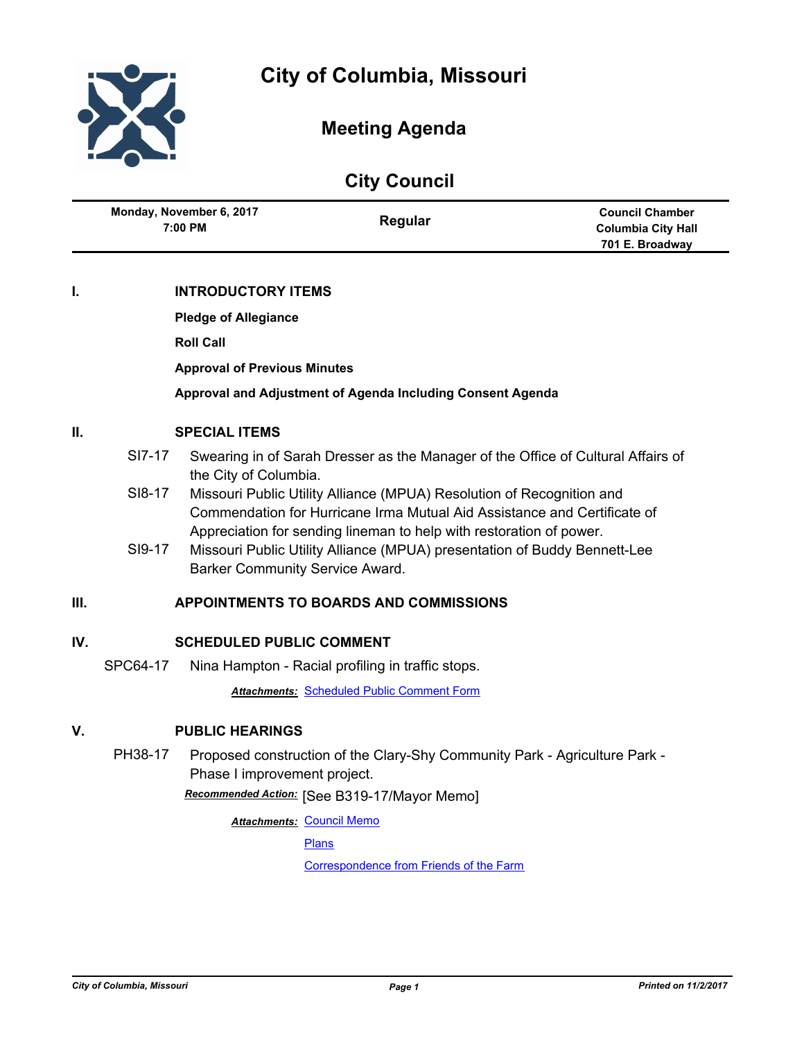

# **Meeting Agenda**

| <b>City Council</b>                 |                           |                                                                        |  |  |
|-------------------------------------|---------------------------|------------------------------------------------------------------------|--|--|
| Monday, November 6, 2017<br>7:00 PM | Regular                   | <b>Council Chamber</b><br><b>Columbia City Hall</b><br>701 E. Broadway |  |  |
| I.                                  | <b>INTRODUCTORY ITEMS</b> |                                                                        |  |  |

**Pledge of Allegiance**

**Roll Call**

**Approval of Previous Minutes**

**Approval and Adjustment of Agenda Including Consent Agenda**

# **II. SPECIAL ITEMS**

- SI7-17 Swearing in of Sarah Dresser as the Manager of the Office of Cultural Affairs of the City of Columbia.
- SI8-17 Missouri Public Utility Alliance (MPUA) Resolution of Recognition and Commendation for Hurricane Irma Mutual Aid Assistance and Certificate of Appreciation for sending lineman to help with restoration of power.
- SI9-17 Missouri Public Utility Alliance (MPUA) presentation of Buddy Bennett-Lee Barker Community Service Award.

# **III. APPOINTMENTS TO BOARDS AND COMMISSIONS**

# **IV. SCHEDULED PUBLIC COMMENT**

SPC64-17 Nina Hampton - Racial profiling in traffic stops.

*Attachments:* [Scheduled Public Comment Form](http://gocolumbiamo.legistar.com/gateway.aspx?M=F&ID=490302da-0164-4615-a8ae-e37313487663.pdf)

# **V. PUBLIC HEARINGS**

PH38-17 Proposed construction of the Clary-Shy Community Park - Agriculture Park - Phase I improvement project.

[See B319-17/Mayor Memo] *Recommended Action:*

**Attachments: [Council Memo](http://gocolumbiamo.legistar.com/gateway.aspx?M=F&ID=df002a6b-b303-4641-83f0-2c496a727f77.docx)** 

[Plans](http://gocolumbiamo.legistar.com/gateway.aspx?M=F&ID=fe33fdd6-191f-4ba6-a39f-8347e5e49896.pdf)

[Correspondence from Friends of the Farm](http://gocolumbiamo.legistar.com/gateway.aspx?M=F&ID=e19e2f47-8746-49ce-8ebe-9019a90853e8.pdf)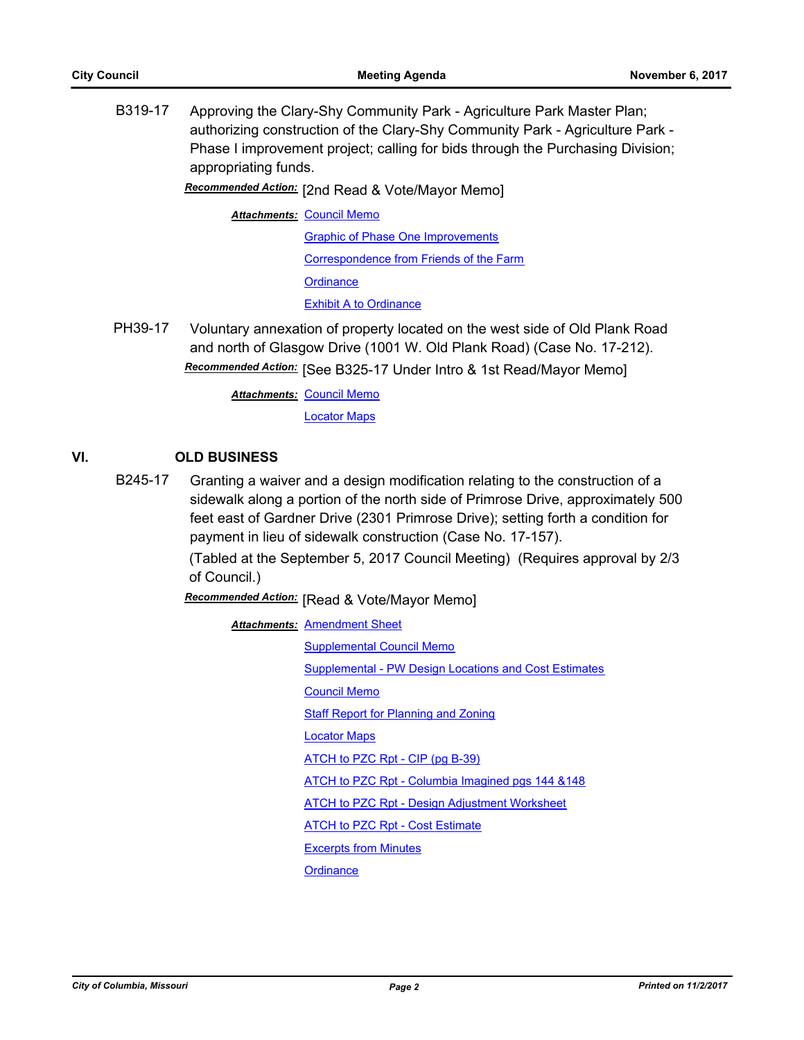B319-17 Approving the Clary-Shy Community Park - Agriculture Park Master Plan; authorizing construction of the Clary-Shy Community Park - Agriculture Park - Phase I improvement project; calling for bids through the Purchasing Division; appropriating funds.

# [2nd Read & Vote/Mayor Memo] *Recommended Action:*

#### **Attachments: [Council Memo](http://gocolumbiamo.legistar.com/gateway.aspx?M=F&ID=2480aec9-bf2f-4a70-8fe2-d2161eb52a53.docx)**

[Graphic of Phase One Improvements](http://gocolumbiamo.legistar.com/gateway.aspx?M=F&ID=741c1d47-b26b-4f13-99fb-a145856db439.pdf) [Correspondence from Friends of the Farm](http://gocolumbiamo.legistar.com/gateway.aspx?M=F&ID=7c2736a1-08cb-48bf-a18e-ee9b1a402b01.pdf) **[Ordinance](http://gocolumbiamo.legistar.com/gateway.aspx?M=F&ID=4e909310-64bd-4915-8dcf-1c6bb48fd2ff.doc) [Exhibit A to Ordinance](http://gocolumbiamo.legistar.com/gateway.aspx?M=F&ID=f1f22c20-5f33-48c1-9ddc-83c5877957bd.pdf)** 

PH39-17 Voluntary annexation of property located on the west side of Old Plank Road and north of Glasgow Drive (1001 W. Old Plank Road) (Case No. 17-212). Recommended Action: [See B325-17 Under Intro & 1st Read/Mayor Memo]

**Attachments: [Council Memo](http://gocolumbiamo.legistar.com/gateway.aspx?M=F&ID=1e3614a2-fab4-4ee6-a07e-13fd108b989a.docx)** 

[Locator Maps](http://gocolumbiamo.legistar.com/gateway.aspx?M=F&ID=44c8f86b-9292-4aac-b516-c8666d000a54.pdf)

# **VI. OLD BUSINESS**

B245-17 Granting a waiver and a design modification relating to the construction of a sidewalk along a portion of the north side of Primrose Drive, approximately 500 feet east of Gardner Drive (2301 Primrose Drive); setting forth a condition for payment in lieu of sidewalk construction (Case No. 17-157).

> (Tabled at the September 5, 2017 Council Meeting) (Requires approval by 2/3 of Council.)

**Recommended Action:** [Read & Vote/Mayor Memo]

| <b>Attachments: Amendment Sheet</b>                   |
|-------------------------------------------------------|
| <b>Supplemental Council Memo</b>                      |
| Supplemental - PW Design Locations and Cost Estimates |
| <b>Council Memo</b>                                   |
| <b>Staff Report for Planning and Zoning</b>           |
| <b>Locator Maps</b>                                   |
| ATCH to PZC Rpt - CIP (pq B-39)                       |
| ATCH to PZC Rpt - Columbia Imagined pgs 144 & 148     |
| ATCH to PZC Rpt - Design Adjustment Worksheet         |
| <b>ATCH to PZC Rpt - Cost Estimate</b>                |
| <b>Excerpts from Minutes</b>                          |
| Ordinance                                             |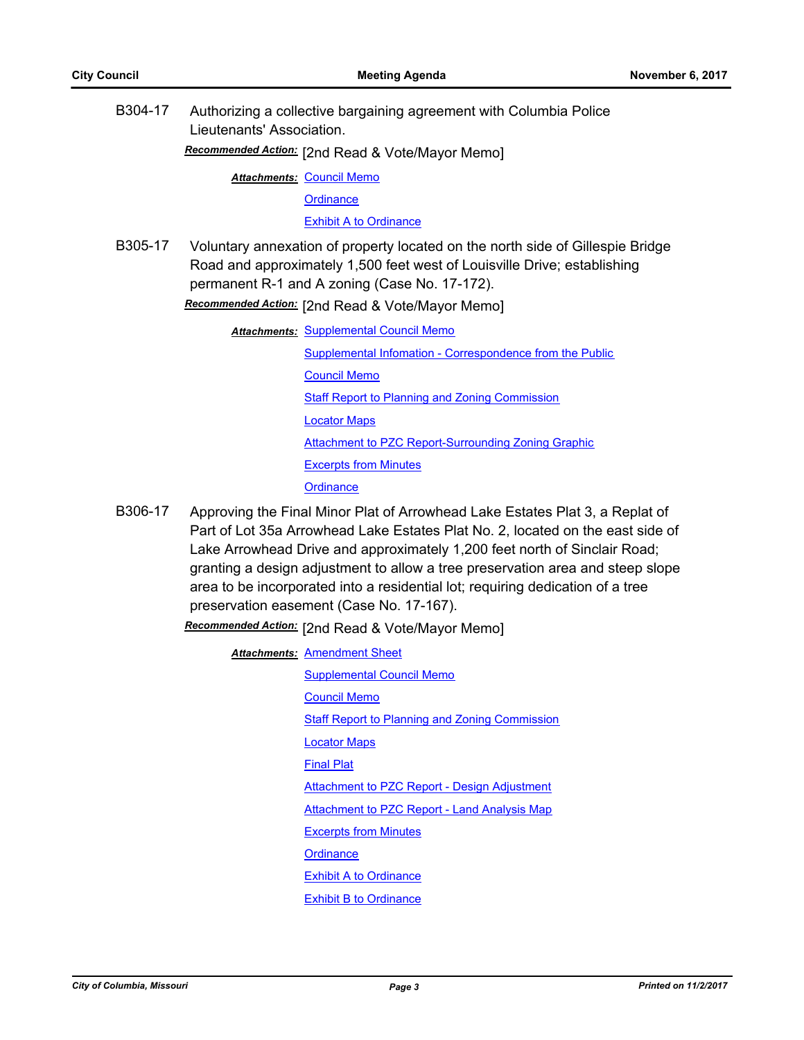B304-17 Authorizing a collective bargaining agreement with Columbia Police Lieutenants' Association.

[2nd Read & Vote/Mayor Memo] *Recommended Action:*

**Attachments: [Council Memo](http://gocolumbiamo.legistar.com/gateway.aspx?M=F&ID=d174e25e-cab7-45ca-a4cb-81ba3a41c261.docx)** 

**[Ordinance](http://gocolumbiamo.legistar.com/gateway.aspx?M=F&ID=f332a2d5-3d3e-485b-93f8-13458d477d63.doc)** 

[Exhibit A to Ordinance](http://gocolumbiamo.legistar.com/gateway.aspx?M=F&ID=d244c430-e63f-41ec-9a2e-c04aa9213c01.docx)

B305-17 Voluntary annexation of property located on the north side of Gillespie Bridge Road and approximately 1,500 feet west of Louisville Drive; establishing permanent R-1 and A zoning (Case No. 17-172).

**Recommended Action:** [2nd Read & Vote/Mayor Memo]

- **Attachments: [Supplemental Council Memo](http://gocolumbiamo.legistar.com/gateway.aspx?M=F&ID=d224a0a7-a1f3-4f1c-a8d2-ea127176ea50.docx)** [Supplemental Infomation - Correspondence from the Public](http://gocolumbiamo.legistar.com/gateway.aspx?M=F&ID=6d8037b3-8d7f-43e1-94e2-4d78b5de43b7.pdf) [Council Memo](http://gocolumbiamo.legistar.com/gateway.aspx?M=F&ID=d01e39b6-18cc-4058-9471-27c163e24839.docx) [Staff Report to Planning and Zoning Commission](http://gocolumbiamo.legistar.com/gateway.aspx?M=F&ID=14d6773d-6bec-4409-af1e-4b42b9905197.pdf) [Locator Maps](http://gocolumbiamo.legistar.com/gateway.aspx?M=F&ID=6b083e6a-58f5-4acb-99b0-652f0af0bc0c.pdf) [Attachment to PZC Report-Surrounding Zoning Graphic](http://gocolumbiamo.legistar.com/gateway.aspx?M=F&ID=4617d6b5-51fe-48cb-9929-e04348fcb71a.pdf) [Excerpts from Minutes](http://gocolumbiamo.legistar.com/gateway.aspx?M=F&ID=fd8b8eb4-7c42-4a08-9359-40056202b17b.docx) **[Ordinance](http://gocolumbiamo.legistar.com/gateway.aspx?M=F&ID=672376f2-9fc8-4cf1-ac57-eb1b2b0a3e89.doc)**
- B306-17 Approving the Final Minor Plat of Arrowhead Lake Estates Plat 3, a Replat of Part of Lot 35a Arrowhead Lake Estates Plat No. 2, located on the east side of Lake Arrowhead Drive and approximately 1,200 feet north of Sinclair Road; granting a design adjustment to allow a tree preservation area and steep slope area to be incorporated into a residential lot; requiring dedication of a tree preservation easement (Case No. 17-167).

[2nd Read & Vote/Mayor Memo] *Recommended Action:*

**Attachments: [Amendment Sheet](http://gocolumbiamo.legistar.com/gateway.aspx?M=F&ID=3e3e470a-c86e-4e1e-9996-4708c1c7076a.pdf)** [Supplemental Council Memo](http://gocolumbiamo.legistar.com/gateway.aspx?M=F&ID=ba448f10-6b86-4dbd-8f2d-8b7d842c7a97.docx) [Council Memo](http://gocolumbiamo.legistar.com/gateway.aspx?M=F&ID=23fb8d47-a911-409e-9cbc-05eb70bf00ae.docx) **[Staff Report to Planning and Zoning Commission](http://gocolumbiamo.legistar.com/gateway.aspx?M=F&ID=7f427578-8c4d-49ad-812f-605309edd4af.pdf)** [Locator Maps](http://gocolumbiamo.legistar.com/gateway.aspx?M=F&ID=e345d39a-ab2f-496b-b8fa-a55df63dd344.pdf) [Final Plat](http://gocolumbiamo.legistar.com/gateway.aspx?M=F&ID=1d97e60f-cc9d-4f0a-83a1-8e1489a80c3c.pdf) [Attachment to PZC Report - Design Adjustment](http://gocolumbiamo.legistar.com/gateway.aspx?M=F&ID=1717b729-1f66-4975-8bea-0c72fd734f71.pdf) [Attachment to PZC Report - Land Analysis Map](http://gocolumbiamo.legistar.com/gateway.aspx?M=F&ID=366ca356-1f82-4209-b31f-02ba93c1e697.pdf) [Excerpts from Minutes](http://gocolumbiamo.legistar.com/gateway.aspx?M=F&ID=74c36b38-0a20-4681-bba0-52ccd1290d32.docx) **[Ordinance](http://gocolumbiamo.legistar.com/gateway.aspx?M=F&ID=ea3f7f35-02da-45b9-b1e9-2da4700614ec.doc)** [Exhibit A to Ordinance](http://gocolumbiamo.legistar.com/gateway.aspx?M=F&ID=b9c1ec7c-5065-4ab9-9571-680503bd0e85.pdf) [Exhibit B to Ordinance](http://gocolumbiamo.legistar.com/gateway.aspx?M=F&ID=becbdc4a-d31a-47ab-a352-4a15c846c427.pdf)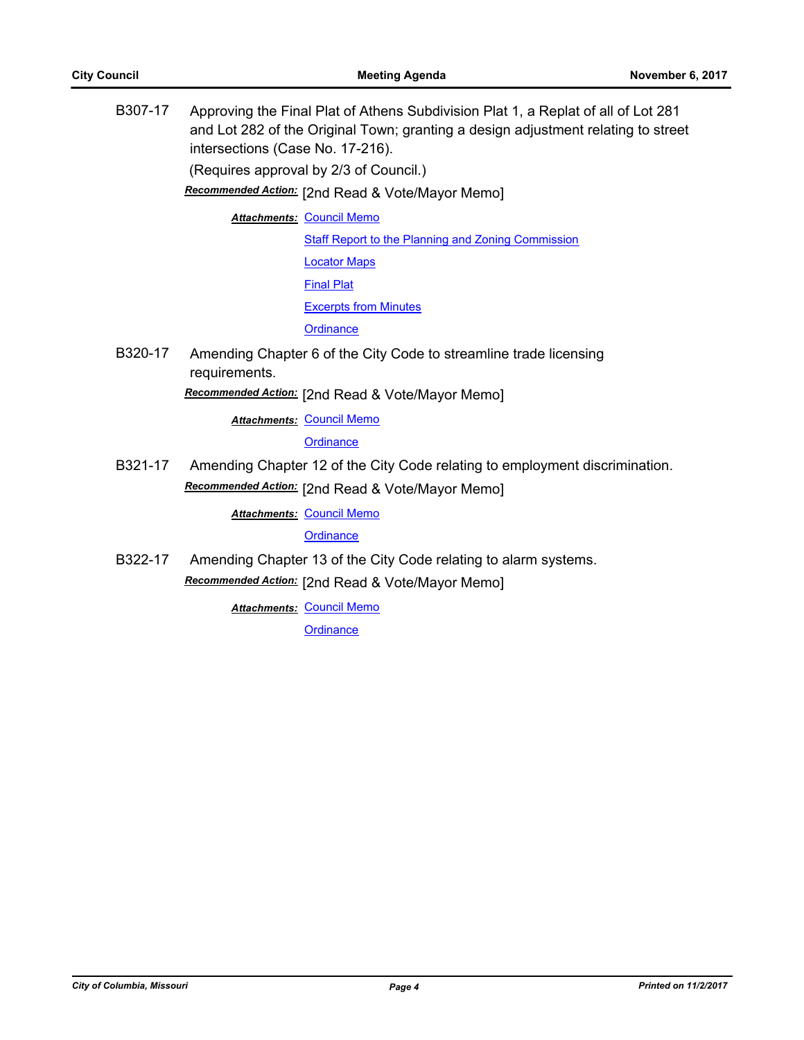B307-17 Approving the Final Plat of Athens Subdivision Plat 1, a Replat of all of Lot 281 and Lot 282 of the Original Town; granting a design adjustment relating to street intersections (Case No. 17-216). (Requires approval by 2/3 of Council.) [2nd Read & Vote/Mayor Memo] *Recommended Action:* **Attachments: [Council Memo](http://gocolumbiamo.legistar.com/gateway.aspx?M=F&ID=835d4b42-5a5a-4c90-8154-f43b75b467e4.docx) [Staff Report to the Planning and Zoning Commission](http://gocolumbiamo.legistar.com/gateway.aspx?M=F&ID=f574ae06-9cab-4849-a257-bd1a352dd9c8.docx)** [Locator Maps](http://gocolumbiamo.legistar.com/gateway.aspx?M=F&ID=354fd631-5b7f-4532-9c4a-45c3768b9ee3.pdf) [Final Plat](http://gocolumbiamo.legistar.com/gateway.aspx?M=F&ID=86a62685-5093-4a57-b47f-f535220b2f5e.PDF) [Excerpts from Minutes](http://gocolumbiamo.legistar.com/gateway.aspx?M=F&ID=26afb6a5-c0b1-4808-9b9d-f6b09da44449.docx) **[Ordinance](http://gocolumbiamo.legistar.com/gateway.aspx?M=F&ID=2da7d0f0-85de-4d82-91b3-ca6958c93450.doc)** B320-17 Amending Chapter 6 of the City Code to streamline trade licensing requirements. [2nd Read & Vote/Mayor Memo] *Recommended Action:* **Attachments: [Council Memo](http://gocolumbiamo.legistar.com/gateway.aspx?M=F&ID=13707e9b-39d5-445b-ba9f-2d870d3f6fbb.docx) [Ordinance](http://gocolumbiamo.legistar.com/gateway.aspx?M=F&ID=84de7ce2-2fca-48d4-a5de-4d7b1740386a.doc)** B321-17 Amending Chapter 12 of the City Code relating to employment discrimination. Recommended Action: [2nd Read & Vote/Mayor Memo] **Attachments: [Council Memo](http://gocolumbiamo.legistar.com/gateway.aspx?M=F&ID=08bfd10e-feee-4f9b-b777-125c507e3278.docx) [Ordinance](http://gocolumbiamo.legistar.com/gateway.aspx?M=F&ID=22291b8a-34fa-4742-9aef-34dcee3cfdeb.doc)** B322-17 Amending Chapter 13 of the City Code relating to alarm systems.

[2nd Read & Vote/Mayor Memo] *Recommended Action:*

**Attachments: [Council Memo](http://gocolumbiamo.legistar.com/gateway.aspx?M=F&ID=e363ef93-daa4-4144-a965-5360346a600a.docx)**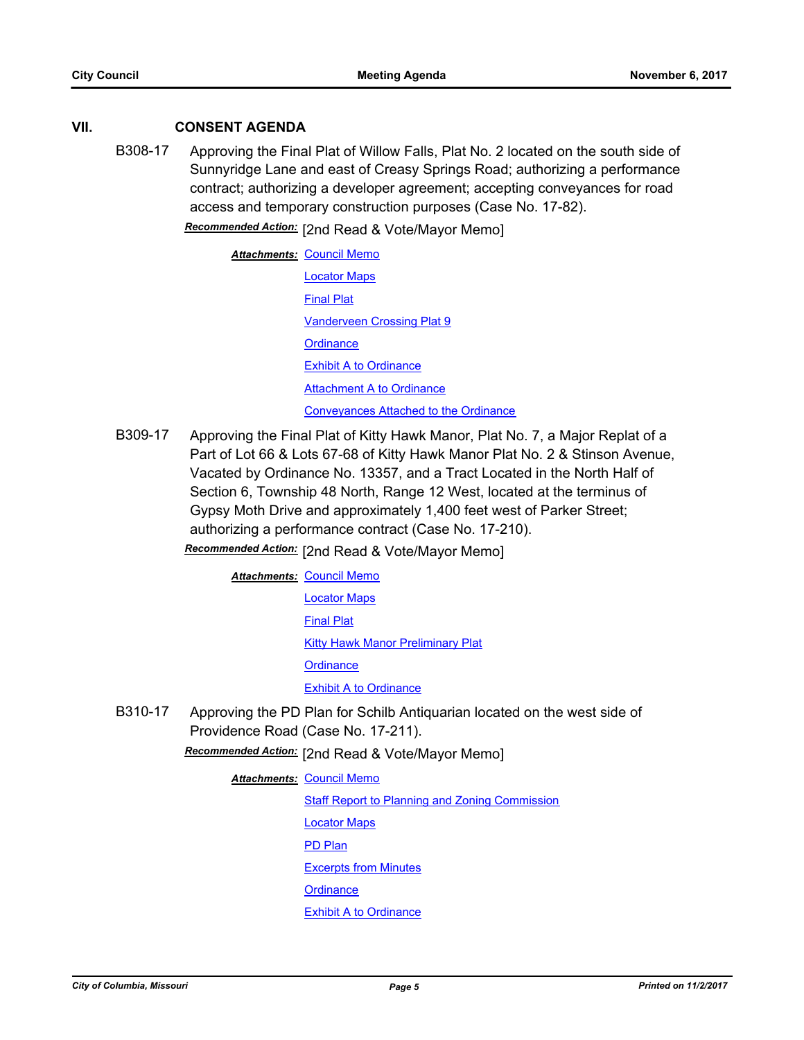# **VII. CONSENT AGENDA**

B308-17 Approving the Final Plat of Willow Falls, Plat No. 2 located on the south side of Sunnyridge Lane and east of Creasy Springs Road; authorizing a performance contract; authorizing a developer agreement; accepting conveyances for road access and temporary construction purposes (Case No. 17-82).

**Recommended Action:** [2nd Read & Vote/Mayor Memo]

| <b>Attachments: Council Memo</b>             |
|----------------------------------------------|
| <b>Locator Maps</b>                          |
| <b>Final Plat</b>                            |
| <b>Vanderveen Crossing Plat 9</b>            |
| Ordinance                                    |
| <b>Exhibit A to Ordinance</b>                |
| <b>Attachment A to Ordinance</b>             |
| <b>Conveyances Attached to the Ordinance</b> |

B309-17 Approving the Final Plat of Kitty Hawk Manor, Plat No. 7, a Major Replat of a Part of Lot 66 & Lots 67-68 of Kitty Hawk Manor Plat No. 2 & Stinson Avenue, Vacated by Ordinance No. 13357, and a Tract Located in the North Half of Section 6, Township 48 North, Range 12 West, located at the terminus of Gypsy Moth Drive and approximately 1,400 feet west of Parker Street; authorizing a performance contract (Case No. 17-210).

[2nd Read & Vote/Mayor Memo] *Recommended Action:*

**Attachments: [Council Memo](http://gocolumbiamo.legistar.com/gateway.aspx?M=F&ID=e62788f7-1e47-4c38-9789-19aa277b8029.docx)** [Locator Maps](http://gocolumbiamo.legistar.com/gateway.aspx?M=F&ID=91c50985-b062-4dcb-b6f8-926e3fb60803.pdf) [Final Plat](http://gocolumbiamo.legistar.com/gateway.aspx?M=F&ID=5218dd2b-1415-4dd9-b170-b4dd8c90d594.pdf) [Kitty Hawk Manor Preliminary Plat](http://gocolumbiamo.legistar.com/gateway.aspx?M=F&ID=64784173-e1fc-4da2-bd2e-bd15e78bd87c.pdf) **[Ordinance](http://gocolumbiamo.legistar.com/gateway.aspx?M=F&ID=983db22c-2cdc-4133-b1d5-5e96fdb8f1ac.doc)** [Exhibit A to Ordinance](http://gocolumbiamo.legistar.com/gateway.aspx?M=F&ID=594cf6b3-b3c4-4b49-802c-592c4424ccd8.pdf)

B310-17 Approving the PD Plan for Schilb Antiquarian located on the west side of Providence Road (Case No. 17-211).

Recommended Action: [2nd Read & Vote/Mayor Memo]

#### <u>Attachments: [Council Memo](http://gocolumbiamo.legistar.com/gateway.aspx?M=F&ID=38891b12-74d2-48c0-999b-9faacdde57c5.docx)</u>

[Staff Report to Planning and Zoning Commission](http://gocolumbiamo.legistar.com/gateway.aspx?M=F&ID=f6573976-2e74-40bb-8d4e-5149c69e01cb.docx) [Locator Maps](http://gocolumbiamo.legistar.com/gateway.aspx?M=F&ID=87e43bb4-f338-4076-992a-3538e1437417.pdf)

[PD Plan](http://gocolumbiamo.legistar.com/gateway.aspx?M=F&ID=dff2d627-54ba-45ab-8601-9da3032abe2d.pdf)

[Excerpts from Minutes](http://gocolumbiamo.legistar.com/gateway.aspx?M=F&ID=27dac74c-c748-49b2-9049-6ad1be0b26b1.docx)

**[Ordinance](http://gocolumbiamo.legistar.com/gateway.aspx?M=F&ID=4f7541f9-42db-49ee-ab2e-54962b407b61.doc)** 

#### [Exhibit A to Ordinance](http://gocolumbiamo.legistar.com/gateway.aspx?M=F&ID=2f0ef9d8-b75b-4648-b82a-c420982001ae.pdf)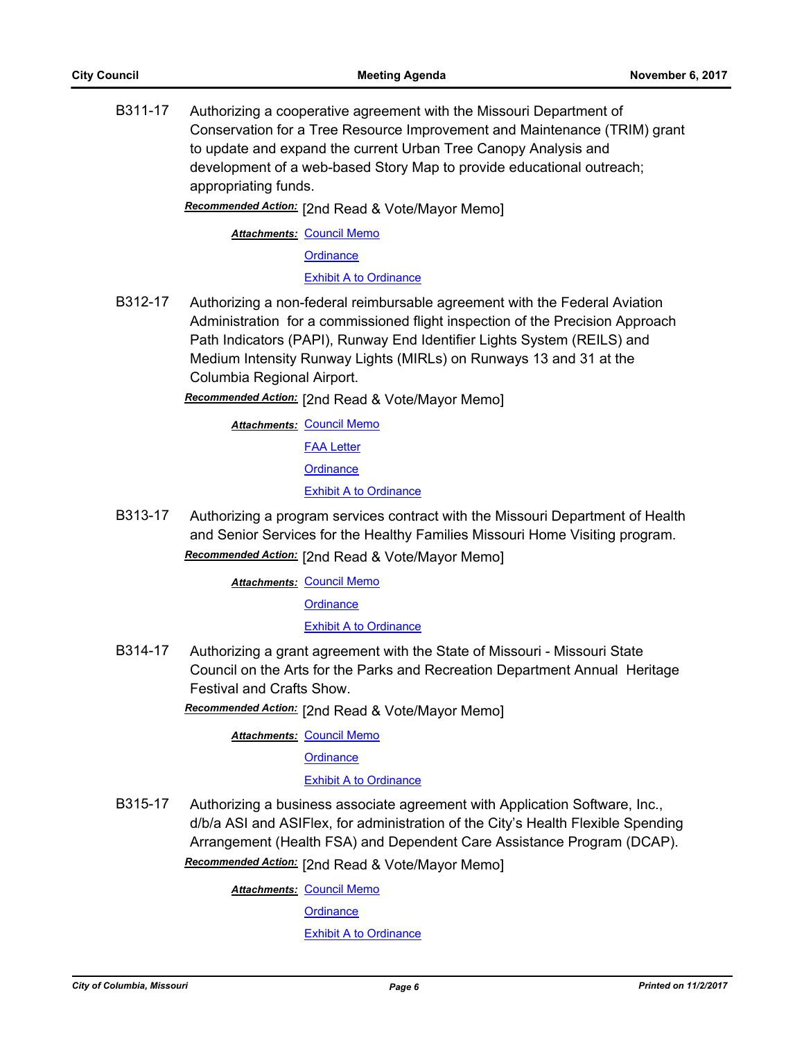B311-17 Authorizing a cooperative agreement with the Missouri Department of Conservation for a Tree Resource Improvement and Maintenance (TRIM) grant to update and expand the current Urban Tree Canopy Analysis and development of a web-based Story Map to provide educational outreach; appropriating funds.

[2nd Read & Vote/Mayor Memo] *Recommended Action:*

**Attachments: [Council Memo](http://gocolumbiamo.legistar.com/gateway.aspx?M=F&ID=457160dc-a19b-4a09-9b34-87cf3a9e46f4.docx)** 

**[Ordinance](http://gocolumbiamo.legistar.com/gateway.aspx?M=F&ID=00a59f9e-d1f5-4cde-a6b0-3d3a5fd858d0.doc)** 

[Exhibit A to Ordinance](http://gocolumbiamo.legistar.com/gateway.aspx?M=F&ID=9367ace9-652f-440d-a49d-0084c80e03af.pdf)

B312-17 Authorizing a non-federal reimbursable agreement with the Federal Aviation Administration for a commissioned flight inspection of the Precision Approach Path Indicators (PAPI), Runway End Identifier Lights System (REILS) and Medium Intensity Runway Lights (MIRLs) on Runways 13 and 31 at the Columbia Regional Airport.

Recommended Action: [2nd Read & Vote/Mayor Memo]

**Attachments: [Council Memo](http://gocolumbiamo.legistar.com/gateway.aspx?M=F&ID=1891715b-3e36-4868-84dc-6346b34a779f.docx)** 

[FAA Letter](http://gocolumbiamo.legistar.com/gateway.aspx?M=F&ID=79bd17b1-012e-49aa-9c25-8fd8560d4fb5.pdf)

**[Ordinance](http://gocolumbiamo.legistar.com/gateway.aspx?M=F&ID=4c507d04-8914-4666-b203-24616457abe2.doc)** 

**[Exhibit A to Ordinance](http://gocolumbiamo.legistar.com/gateway.aspx?M=F&ID=dd61736d-5014-460b-a57e-e9d81d6a3a33.pdf)** 

B313-17 Authorizing a program services contract with the Missouri Department of Health and Senior Services for the Healthy Families Missouri Home Visiting program.

Recommended Action: [2nd Read & Vote/Mayor Memo]

**Attachments: [Council Memo](http://gocolumbiamo.legistar.com/gateway.aspx?M=F&ID=bfb6335c-89ed-450e-90da-83d27cd4084b.docx)** 

**[Ordinance](http://gocolumbiamo.legistar.com/gateway.aspx?M=F&ID=519c7bbc-4b6b-4d70-a289-6b8de5a30051.doc)** 

[Exhibit A to Ordinance](http://gocolumbiamo.legistar.com/gateway.aspx?M=F&ID=d96a9889-b8df-4455-b8e2-897fb4b34649.pdf)

B314-17 Authorizing a grant agreement with the State of Missouri - Missouri State Council on the Arts for the Parks and Recreation Department Annual Heritage Festival and Crafts Show.

Recommended Action: [2nd Read & Vote/Mayor Memo]

**Attachments: [Council Memo](http://gocolumbiamo.legistar.com/gateway.aspx?M=F&ID=7859fc03-5a49-401f-a1c7-ac3cca3f9816.docx)** 

**[Ordinance](http://gocolumbiamo.legistar.com/gateway.aspx?M=F&ID=48888e90-80a5-4ec2-828c-93daffaa1ca8.doc)** 

[Exhibit A to Ordinance](http://gocolumbiamo.legistar.com/gateway.aspx?M=F&ID=33057e45-9e53-4f44-8d40-d6302ccd6be5.pdf)

B315-17 Authorizing a business associate agreement with Application Software, Inc., d/b/a ASI and ASIFlex, for administration of the City's Health Flexible Spending Arrangement (Health FSA) and Dependent Care Assistance Program (DCAP).

Recommended Action: [2nd Read & Vote/Mayor Memo]

**Attachments: [Council Memo](http://gocolumbiamo.legistar.com/gateway.aspx?M=F&ID=374105db-fd19-4cd8-8584-4199b027e618.docx)** 

**[Ordinance](http://gocolumbiamo.legistar.com/gateway.aspx?M=F&ID=80a4ea7b-c2ea-42f9-9f2b-bebd546f7bc2.doc)** 

[Exhibit A to Ordinance](http://gocolumbiamo.legistar.com/gateway.aspx?M=F&ID=b0d7fcda-5b1c-4a40-b36e-788e6c8af7cb.pdf)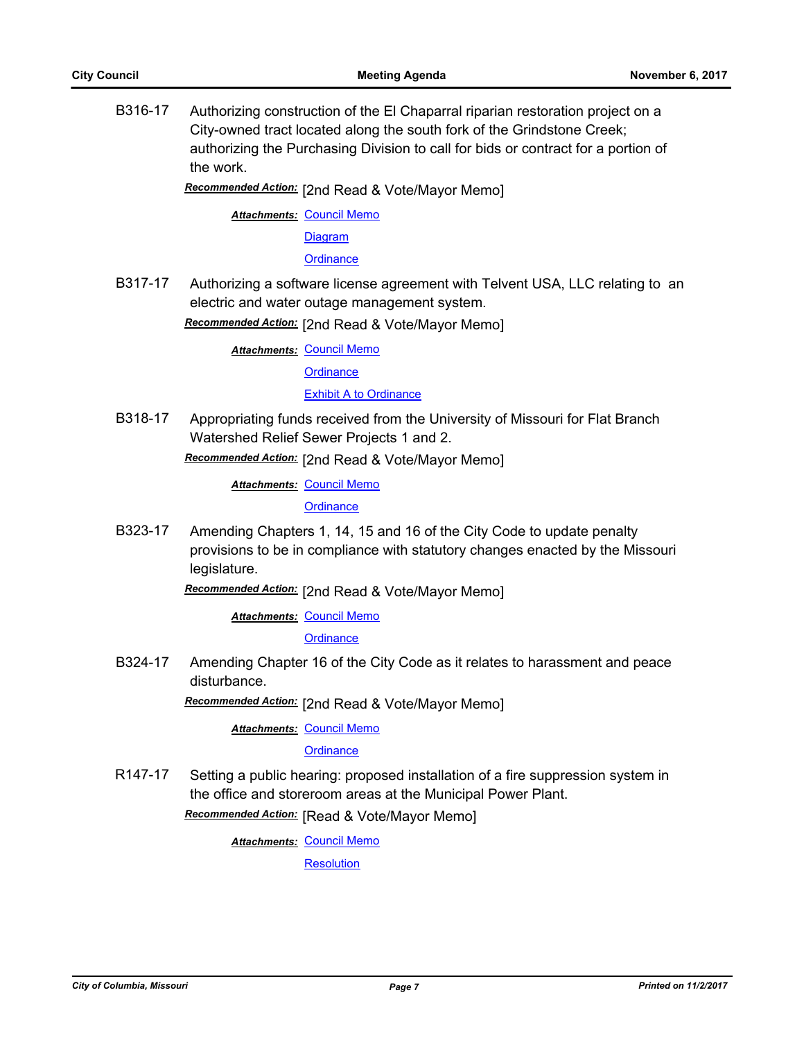B316-17 Authorizing construction of the El Chaparral riparian restoration project on a City-owned tract located along the south fork of the Grindstone Creek; authorizing the Purchasing Division to call for bids or contract for a portion of the work.

**Recommended Action:** [2nd Read & Vote/Mayor Memo]

**Attachments: [Council Memo](http://gocolumbiamo.legistar.com/gateway.aspx?M=F&ID=34971a55-f787-4ab7-be2e-9d4e7a2a14bd.docx)** 

**[Diagram](http://gocolumbiamo.legistar.com/gateway.aspx?M=F&ID=15b126cd-fe5d-478c-9c2e-b6659c8262e6.pdf)** 

**[Ordinance](http://gocolumbiamo.legistar.com/gateway.aspx?M=F&ID=1d867f18-9ec3-4cc8-b73b-5192c752ab7c.doc)** 

B317-17 Authorizing a software license agreement with Telvent USA, LLC relating to an electric and water outage management system.

Recommended Action: [2nd Read & Vote/Mayor Memo]

**Attachments: [Council Memo](http://gocolumbiamo.legistar.com/gateway.aspx?M=F&ID=2931f835-df4f-4bb0-adf4-c53943fa937e.docx)** 

**[Ordinance](http://gocolumbiamo.legistar.com/gateway.aspx?M=F&ID=f4ccc402-5cb6-4c2b-a643-93568f23266d.doc)** 

**[Exhibit A to Ordinance](http://gocolumbiamo.legistar.com/gateway.aspx?M=F&ID=c61fe5e3-d320-4e81-880f-abbaf78a328c.pdf)** 

B318-17 Appropriating funds received from the University of Missouri for Flat Branch Watershed Relief Sewer Projects 1 and 2.

**Recommended Action:** [2nd Read & Vote/Mayor Memo]

**Attachments: [Council Memo](http://gocolumbiamo.legistar.com/gateway.aspx?M=F&ID=49bf5dd3-bc72-4e18-a550-9f654c85c1a3.docx)** 

**[Ordinance](http://gocolumbiamo.legistar.com/gateway.aspx?M=F&ID=605adc03-6664-4c6e-9840-552b26717566.doc)** 

B323-17 Amending Chapters 1, 14, 15 and 16 of the City Code to update penalty provisions to be in compliance with statutory changes enacted by the Missouri legislature.

Recommended Action: [2nd Read & Vote/Mayor Memo]

**Attachments: [Council Memo](http://gocolumbiamo.legistar.com/gateway.aspx?M=F&ID=62ac2764-20cc-4b0f-914b-1386814bc599.docx)** 

**[Ordinance](http://gocolumbiamo.legistar.com/gateway.aspx?M=F&ID=4306f387-b05b-4f2d-a535-d2db6ed8ae5e.doc)** 

B324-17 Amending Chapter 16 of the City Code as it relates to harassment and peace disturbance.

Recommended Action: [2nd Read & Vote/Mayor Memo]

<u>Attachments: [Council Memo](http://gocolumbiamo.legistar.com/gateway.aspx?M=F&ID=3c48b20a-0ac8-4264-ae74-57e3fdd15447.docx)</u>

**[Ordinance](http://gocolumbiamo.legistar.com/gateway.aspx?M=F&ID=e87fbf91-3b98-4b06-beb6-461643d3a7ee.doc)** 

R147-17 Setting a public hearing: proposed installation of a fire suppression system in the office and storeroom areas at the Municipal Power Plant.

**Recommended Action:** [Read & Vote/Mayor Memo]

**Attachments: [Council Memo](http://gocolumbiamo.legistar.com/gateway.aspx?M=F&ID=0a6d5e1b-464f-4cb6-8a9b-8a9a689906c5.docx)** 

**[Resolution](http://gocolumbiamo.legistar.com/gateway.aspx?M=F&ID=98183155-3006-49c9-988f-b7d15d73fa3f.doc)**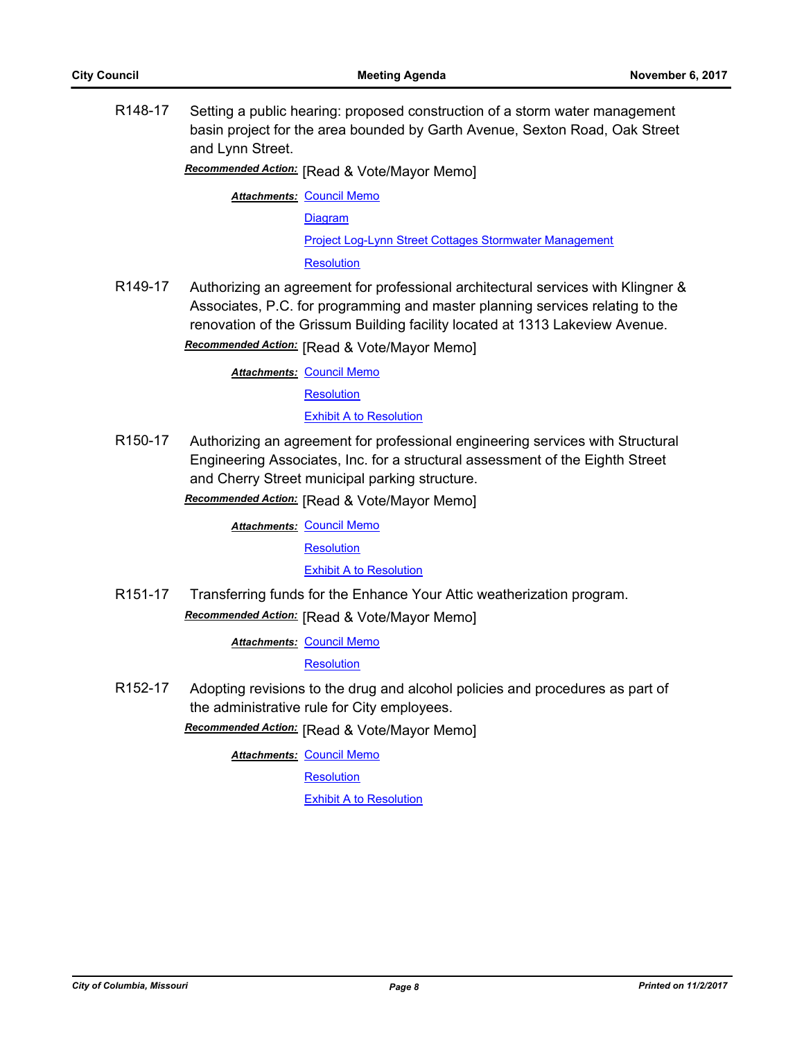R148-17 Setting a public hearing: proposed construction of a storm water management basin project for the area bounded by Garth Avenue, Sexton Road, Oak Street and Lynn Street.

**Recommended Action:** [Read & Vote/Mayor Memo]

**Attachments: [Council Memo](http://gocolumbiamo.legistar.com/gateway.aspx?M=F&ID=6ac2159e-e421-44fd-af3b-5aac515eef42.docx)** 

[Diagram](http://gocolumbiamo.legistar.com/gateway.aspx?M=F&ID=5a3b4afd-4420-48ac-9128-cfd18cba1fd3.pdf)

[Project Log-Lynn Street Cottages Stormwater Management](http://gocolumbiamo.legistar.com/gateway.aspx?M=F&ID=db2f1add-d4ee-433d-96f6-0a93fcab9342.pdf)

**[Resolution](http://gocolumbiamo.legistar.com/gateway.aspx?M=F&ID=e94fed34-44a9-4536-9dca-bff4410c0db3.doc)** 

R149-17 Authorizing an agreement for professional architectural services with Klingner & Associates, P.C. for programming and master planning services relating to the renovation of the Grissum Building facility located at 1313 Lakeview Avenue.

**Recommended Action:** [Read & Vote/Mayor Memo]

<u>Attachments: [Council Memo](http://gocolumbiamo.legistar.com/gateway.aspx?M=F&ID=591d4647-36af-417e-ba6c-27213f6913c4.docx)</u>

**[Resolution](http://gocolumbiamo.legistar.com/gateway.aspx?M=F&ID=9c9c33e2-f39f-475a-8f09-9eac541b93f1.doc)** 

[Exhibit A to Resolution](http://gocolumbiamo.legistar.com/gateway.aspx?M=F&ID=22b12a0e-76ed-425a-9d70-4aaaf598ea61.pdf)

R150-17 Authorizing an agreement for professional engineering services with Structural Engineering Associates, Inc. for a structural assessment of the Eighth Street and Cherry Street municipal parking structure.

**Recommended Action:** [Read & Vote/Mayor Memo]

**Attachments: [Council Memo](http://gocolumbiamo.legistar.com/gateway.aspx?M=F&ID=d83c982d-20b4-45fc-b8fc-a18c3ac0bba5.docx)** 

**[Resolution](http://gocolumbiamo.legistar.com/gateway.aspx?M=F&ID=609d582c-945f-4efa-85c9-69242e217c59.doc)** 

**[Exhibit A to Resolution](http://gocolumbiamo.legistar.com/gateway.aspx?M=F&ID=6fe0f296-dbc9-4de1-b766-4f41fcd2d24a.pdf)** 

R151-17 Transferring funds for the Enhance Your Attic weatherization program. **Recommended Action:** [Read & Vote/Mayor Memo]

**Attachments: [Council Memo](http://gocolumbiamo.legistar.com/gateway.aspx?M=F&ID=2b173434-8b2d-4295-bc4f-1784afa1592c.docx)** 

**[Resolution](http://gocolumbiamo.legistar.com/gateway.aspx?M=F&ID=ca108437-b462-4992-a9a0-3444722ceda9.doc)** 

R152-17 Adopting revisions to the drug and alcohol policies and procedures as part of the administrative rule for City employees.

**Recommended Action:** [Read & Vote/Mayor Memo]

<u>Attachments: [Council Memo](http://gocolumbiamo.legistar.com/gateway.aspx?M=F&ID=27ed52a7-078d-4723-994b-c61b72afb810.docx)</u>

**[Resolution](http://gocolumbiamo.legistar.com/gateway.aspx?M=F&ID=bfc982bc-27ae-4b28-98a6-2b9abdb5cb71.doc)** 

[Exhibit A to Resolution](http://gocolumbiamo.legistar.com/gateway.aspx?M=F&ID=556915cb-6d9b-4f6e-8cef-5d08834c88f5.pdf)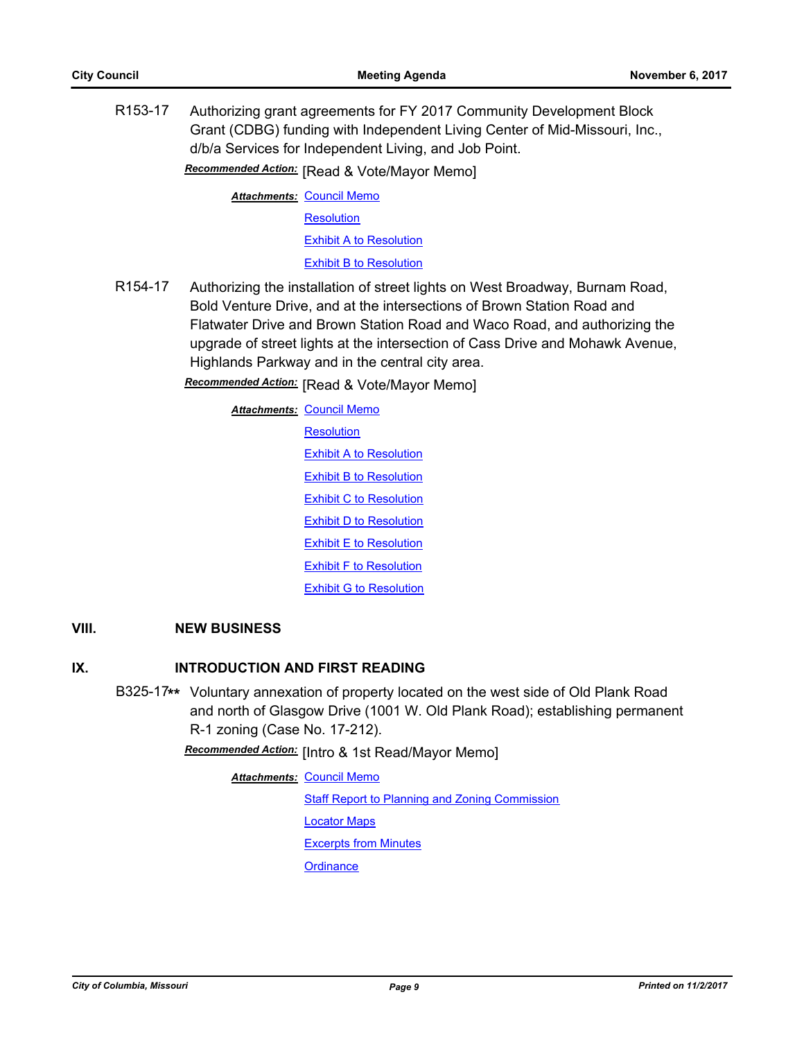R153-17 Authorizing grant agreements for FY 2017 Community Development Block Grant (CDBG) funding with Independent Living Center of Mid-Missouri, Inc., d/b/a Services for Independent Living, and Job Point.

**Recommended Action:** [Read & Vote/Mayor Memo]

**Attachments: [Council Memo](http://gocolumbiamo.legistar.com/gateway.aspx?M=F&ID=e8aa702c-1c3b-4a69-8b89-4e948448c250.docx) [Resolution](http://gocolumbiamo.legistar.com/gateway.aspx?M=F&ID=58a16206-1180-4c67-9596-5a306c014c55.doc)** [Exhibit A to Resolution](http://gocolumbiamo.legistar.com/gateway.aspx?M=F&ID=7a7909fe-98cc-4c2b-8c0c-89fad17a210a.docx) [Exhibit B to Resolution](http://gocolumbiamo.legistar.com/gateway.aspx?M=F&ID=aa45bae7-fa32-4f75-9230-61a0873e0012.doc)

R154-17 Authorizing the installation of street lights on West Broadway, Burnam Road, Bold Venture Drive, and at the intersections of Brown Station Road and Flatwater Drive and Brown Station Road and Waco Road, and authorizing the upgrade of street lights at the intersection of Cass Drive and Mohawk Avenue, Highlands Parkway and in the central city area.

**Recommended Action:** [Read & Vote/Mayor Memo]

<u>Attachments: [Council Memo](http://gocolumbiamo.legistar.com/gateway.aspx?M=F&ID=1025ad74-c1d4-4b31-86d7-9746ec8541dd.docx)</u> **[Resolution](http://gocolumbiamo.legistar.com/gateway.aspx?M=F&ID=ae84d6a9-eb2b-4548-afdd-e067385603fc.doc)** [Exhibit A to Resolution](http://gocolumbiamo.legistar.com/gateway.aspx?M=F&ID=fa14ca33-ad31-469e-8c2e-8088791de61a.png) **[Exhibit B to Resolution](http://gocolumbiamo.legistar.com/gateway.aspx?M=F&ID=51d7ba72-1a03-4b3f-84b9-155d4d6a11be.png)** [Exhibit C to Resolution](http://gocolumbiamo.legistar.com/gateway.aspx?M=F&ID=a45b8c61-6c2b-4e5c-82ef-628e92568cd8.png) **[Exhibit D to Resolution](http://gocolumbiamo.legistar.com/gateway.aspx?M=F&ID=0d22adff-2bf7-4ed1-9eff-78e787f5c368.png)** [Exhibit E to Resolution](http://gocolumbiamo.legistar.com/gateway.aspx?M=F&ID=09b2e4dc-556a-4bb6-b46c-98240da6e418.png) [Exhibit F to Resolution](http://gocolumbiamo.legistar.com/gateway.aspx?M=F&ID=ee7f6f57-aef8-4df2-bbba-1e1e77bab788.png) [Exhibit G to Resolution](http://gocolumbiamo.legistar.com/gateway.aspx?M=F&ID=ba61bcf8-c156-4338-8cad-78961bd401dc.png)

# **VIII. NEW BUSINESS**

# **IX. INTRODUCTION AND FIRST READING**

B325-17**\*\*** Voluntary annexation of property located on the west side of Old Plank Road and north of Glasgow Drive (1001 W. Old Plank Road); establishing permanent R-1 zoning (Case No. 17-212).

Recommended Action: [Intro & 1st Read/Mayor Memo]

<u>Attachments: [Council Memo](http://gocolumbiamo.legistar.com/gateway.aspx?M=F&ID=0ec2664c-e3b2-4691-8321-6178812756f1.docx)</u> **[Staff Report to Planning and Zoning Commission](http://gocolumbiamo.legistar.com/gateway.aspx?M=F&ID=52e6e4e4-e30c-4dbb-9da3-5b6a0962e3df.docx)** [Locator Maps](http://gocolumbiamo.legistar.com/gateway.aspx?M=F&ID=7daecd9d-313b-4a1c-a4aa-934d65433434.pdf) [Excerpts from Minutes](http://gocolumbiamo.legistar.com/gateway.aspx?M=F&ID=43a5bb54-6c94-48d0-855c-280a99f174b0.docx) **[Ordinance](http://gocolumbiamo.legistar.com/gateway.aspx?M=F&ID=acbf3bb4-f818-49bf-aa6a-dd3a5fa65da9.doc)**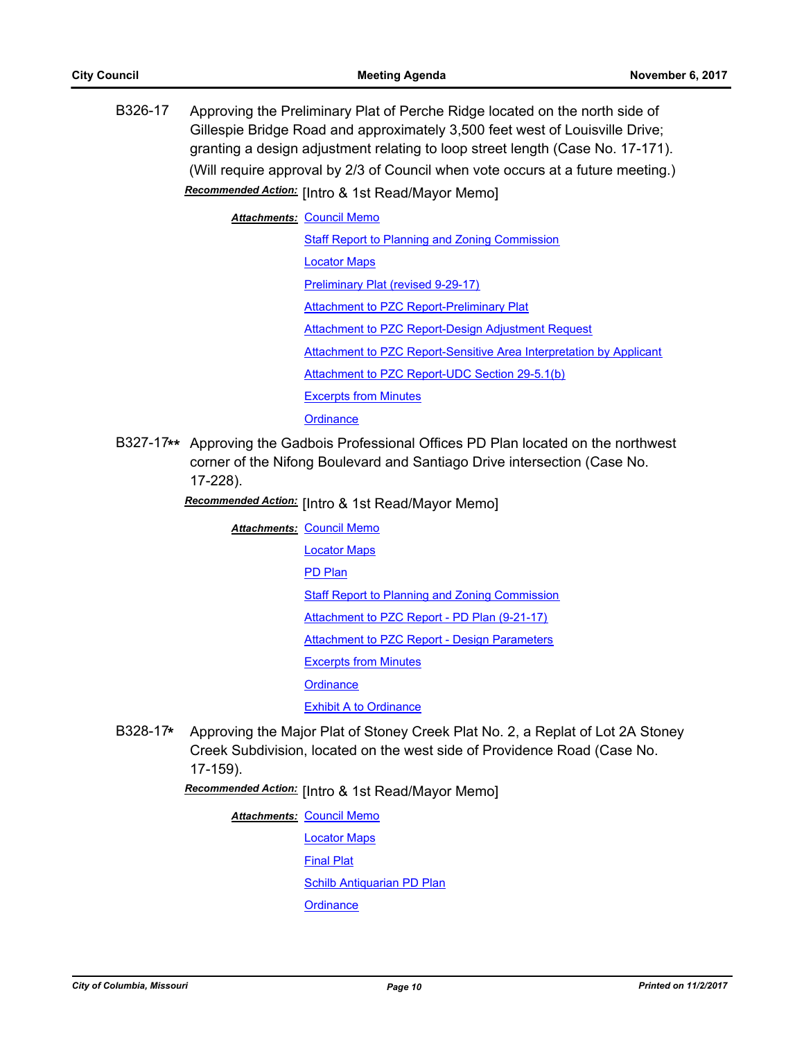B326-17 Approving the Preliminary Plat of Perche Ridge located on the north side of Gillespie Bridge Road and approximately 3,500 feet west of Louisville Drive; granting a design adjustment relating to loop street length (Case No. 17-171). (Will require approval by 2/3 of Council when vote occurs at a future meeting.) Recommended Action: [Intro & 1st Read/Mayor Memo]

**Attachments: [Council Memo](http://gocolumbiamo.legistar.com/gateway.aspx?M=F&ID=7e2c66a9-a085-4f5c-91a6-48067c3d2626.docx)** 

[Staff Report to Planning and Zoning Commission](http://gocolumbiamo.legistar.com/gateway.aspx?M=F&ID=8a1e5f0b-1ea9-4fe5-ac9e-cd018e8bfcdd.pdf) [Locator Maps](http://gocolumbiamo.legistar.com/gateway.aspx?M=F&ID=ca99ca34-dc76-42c8-9088-1d1aa2d76009.pdf) [Preliminary Plat \(revised 9-29-17\)](http://gocolumbiamo.legistar.com/gateway.aspx?M=F&ID=0d925467-fffe-4c8f-a5df-ead2d6987069.pdf) **[Attachment to PZC Report-Preliminary Plat](http://gocolumbiamo.legistar.com/gateway.aspx?M=F&ID=8a10f4cf-4362-4be7-baee-d6bdf7c2abe0.pdf)** [Attachment to PZC Report-Design Adjustment Request](http://gocolumbiamo.legistar.com/gateway.aspx?M=F&ID=6d51fa15-7835-48e6-af53-71a99ee2e7cc.pdf) [Attachment to PZC Report-Sensitive Area Interpretation by Applicant](http://gocolumbiamo.legistar.com/gateway.aspx?M=F&ID=54465ce6-7190-4d54-9357-ef5b55f64480.pdf) [Attachment to PZC Report-UDC Section 29-5.1\(b\)](http://gocolumbiamo.legistar.com/gateway.aspx?M=F&ID=7000ee0b-ef0f-4556-8aa7-e9bcce3ff0e4.pdf) [Excerpts from Minutes](http://gocolumbiamo.legistar.com/gateway.aspx?M=F&ID=695c02c6-e073-4b6f-ae1a-6ceaac3284f9.docx) **[Ordinance](http://gocolumbiamo.legistar.com/gateway.aspx?M=F&ID=a7ff497d-d948-4fdc-be3c-df5993550dc5.doc)** 

B327-17**\*\*** Approving the Gadbois Professional Offices PD Plan located on the northwest corner of the Nifong Boulevard and Santiago Drive intersection (Case No. 17-228).

Recommended Action: [Intro & 1st Read/Mayor Memo]

**Attachments: [Council Memo](http://gocolumbiamo.legistar.com/gateway.aspx?M=F&ID=8c0b402e-b6b5-4977-a317-9e551296dfe8.docx)** 

[Locator Maps](http://gocolumbiamo.legistar.com/gateway.aspx?M=F&ID=070c7612-7345-431e-8ea5-38976c4b48ad.pdf) [PD Plan](http://gocolumbiamo.legistar.com/gateway.aspx?M=F&ID=4b4dd9b9-35d0-4658-81d7-bf3fbe3a207a.pdf) **[Staff Report to Planning and Zoning Commission](http://gocolumbiamo.legistar.com/gateway.aspx?M=F&ID=c11eccb8-6f21-446e-b4f0-b50225644b9b.docx)** [Attachment to PZC Report - PD Plan \(9-21-17\)](http://gocolumbiamo.legistar.com/gateway.aspx?M=F&ID=b3eee970-a9e1-4a42-a1bf-b564cbf92921.pdf) [Attachment to PZC Report - Design Parameters](http://gocolumbiamo.legistar.com/gateway.aspx?M=F&ID=29e75378-1e51-4b86-82ee-f74ffe9bf39a.pdf) [Excerpts from Minutes](http://gocolumbiamo.legistar.com/gateway.aspx?M=F&ID=2b48afa2-eabb-443f-8a0e-35ceab57497d.docx)

**[Ordinance](http://gocolumbiamo.legistar.com/gateway.aspx?M=F&ID=39168255-0ddc-4583-b95c-aefea15fc706.doc)** 

[Exhibit A to Ordinance](http://gocolumbiamo.legistar.com/gateway.aspx?M=F&ID=5d0fe6a8-38a6-4f23-9c15-5b2895339bdf.pdf)

B328-17**\*** Approving the Major Plat of Stoney Creek Plat No. 2, a Replat of Lot 2A Stoney Creek Subdivision, located on the west side of Providence Road (Case No. 17-159).

[Intro & 1st Read/Mayor Memo] *Recommended Action:*

**Attachments: [Council Memo](http://gocolumbiamo.legistar.com/gateway.aspx?M=F&ID=e0242129-df6f-416e-8fe5-aa66150dca46.docx)** 

[Locator Maps](http://gocolumbiamo.legistar.com/gateway.aspx?M=F&ID=e2745f8e-b7fd-41a6-a423-0f3e8e06bfeb.pdf) [Final Plat](http://gocolumbiamo.legistar.com/gateway.aspx?M=F&ID=15798bc5-c728-46e3-b03d-6d4bedc1cab4.pdf) [Schilb Antiquarian PD Plan](http://gocolumbiamo.legistar.com/gateway.aspx?M=F&ID=ac3ed884-ad93-4bec-843c-6c60ffd6cd2e.pdf)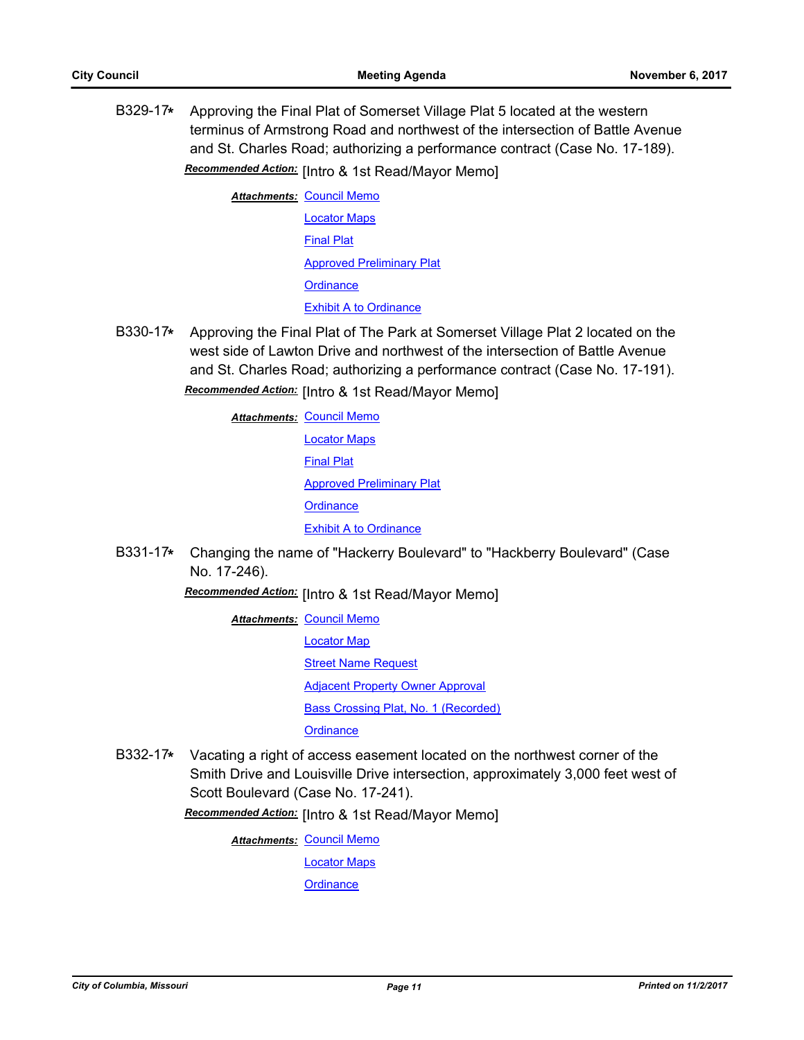B329-17**\*** Approving the Final Plat of Somerset Village Plat 5 located at the western terminus of Armstrong Road and northwest of the intersection of Battle Avenue and St. Charles Road; authorizing a performance contract (Case No. 17-189).

Recommended Action: [Intro & 1st Read/Mayor Memo]

**Attachments: [Council Memo](http://gocolumbiamo.legistar.com/gateway.aspx?M=F&ID=649c1483-3691-40eb-bf7c-97221161f621.docx)** [Locator Maps](http://gocolumbiamo.legistar.com/gateway.aspx?M=F&ID=e514ed37-4205-4f6e-beda-d57c696e899e.pdf) [Final Plat](http://gocolumbiamo.legistar.com/gateway.aspx?M=F&ID=e03fdb28-d2df-4236-a30e-2f0f3fd7956d.pdf) [Approved Preliminary Plat](http://gocolumbiamo.legistar.com/gateway.aspx?M=F&ID=ff2df6ea-115e-4edf-9b88-f23453b32dfa.pdf) **[Ordinance](http://gocolumbiamo.legistar.com/gateway.aspx?M=F&ID=cb2cacdb-8e40-4c59-9151-19f8138c4c36.doc)** [Exhibit A to Ordinance](http://gocolumbiamo.legistar.com/gateway.aspx?M=F&ID=dcb8500f-e9ce-46f4-b249-3a397d827396.pdf)

B330-17**\*** Approving the Final Plat of The Park at Somerset Village Plat 2 located on the west side of Lawton Drive and northwest of the intersection of Battle Avenue and St. Charles Road; authorizing a performance contract (Case No. 17-191).

Recommended Action: [Intro & 1st Read/Mayor Memo]

<u>Attachments: [Council Memo](http://gocolumbiamo.legistar.com/gateway.aspx?M=F&ID=9dbc7ff5-7503-4ef1-b49f-0af94d9a24ac.docx)</u> [Locator Maps](http://gocolumbiamo.legistar.com/gateway.aspx?M=F&ID=6d02a4ef-0020-4be4-9eb4-bc03f5a521b4.pdf) [Final Plat](http://gocolumbiamo.legistar.com/gateway.aspx?M=F&ID=dcdbff4c-e7ce-4c2b-807b-3138b02f0e79.pdf) [Approved Preliminary Plat](http://gocolumbiamo.legistar.com/gateway.aspx?M=F&ID=3124f30a-1ca5-49b3-8ea5-478623e7c466.pdf) **[Ordinance](http://gocolumbiamo.legistar.com/gateway.aspx?M=F&ID=ee350822-cbb8-4187-9dff-0583b3e4e4d1.doc)** [Exhibit A to Ordinance](http://gocolumbiamo.legistar.com/gateway.aspx?M=F&ID=dae1bea5-ee6d-496d-b1fe-fc4fa376b89f.pdf)

B331-17**\*** Changing the name of "Hackerry Boulevard" to "Hackberry Boulevard" (Case No. 17-246).

Recommended Action: [Intro & 1st Read/Mayor Memo]

- **Attachments: [Council Memo](http://gocolumbiamo.legistar.com/gateway.aspx?M=F&ID=37bae71e-f072-4737-92ab-06779244a69f.docx)** [Locator Map](http://gocolumbiamo.legistar.com/gateway.aspx?M=F&ID=83e3a419-b830-4f10-b711-a9cfd9f01226.pdf) **[Street Name Request](http://gocolumbiamo.legistar.com/gateway.aspx?M=F&ID=5003c01a-61cd-401e-81cd-4531d590cf03.pdf)** [Adjacent Property Owner Approval](http://gocolumbiamo.legistar.com/gateway.aspx?M=F&ID=887e71c9-2ce5-4aec-8c00-83710efdedcb.pdf) **[Bass Crossing Plat, No. 1 \(Recorded\)](http://gocolumbiamo.legistar.com/gateway.aspx?M=F&ID=185d5259-6e75-4f7a-b923-e0cab1290d8b.pdf) [Ordinance](http://gocolumbiamo.legistar.com/gateway.aspx?M=F&ID=18c040d8-1ab4-4d53-97bc-0c01bed9239c.doc)**
- B332-17**\*** Vacating a right of access easement located on the northwest corner of the Smith Drive and Louisville Drive intersection, approximately 3,000 feet west of Scott Boulevard (Case No. 17-241).

Recommended Action: [Intro & 1st Read/Mayor Memo]

<u>Attachments: [Council Memo](http://gocolumbiamo.legistar.com/gateway.aspx?M=F&ID=0c4e87e7-e69c-4893-9883-4eec1eda3b83.docx)</u>

[Locator Maps](http://gocolumbiamo.legistar.com/gateway.aspx?M=F&ID=8f4ddb49-4709-409d-9144-6fa41a9d3bc2.pdf)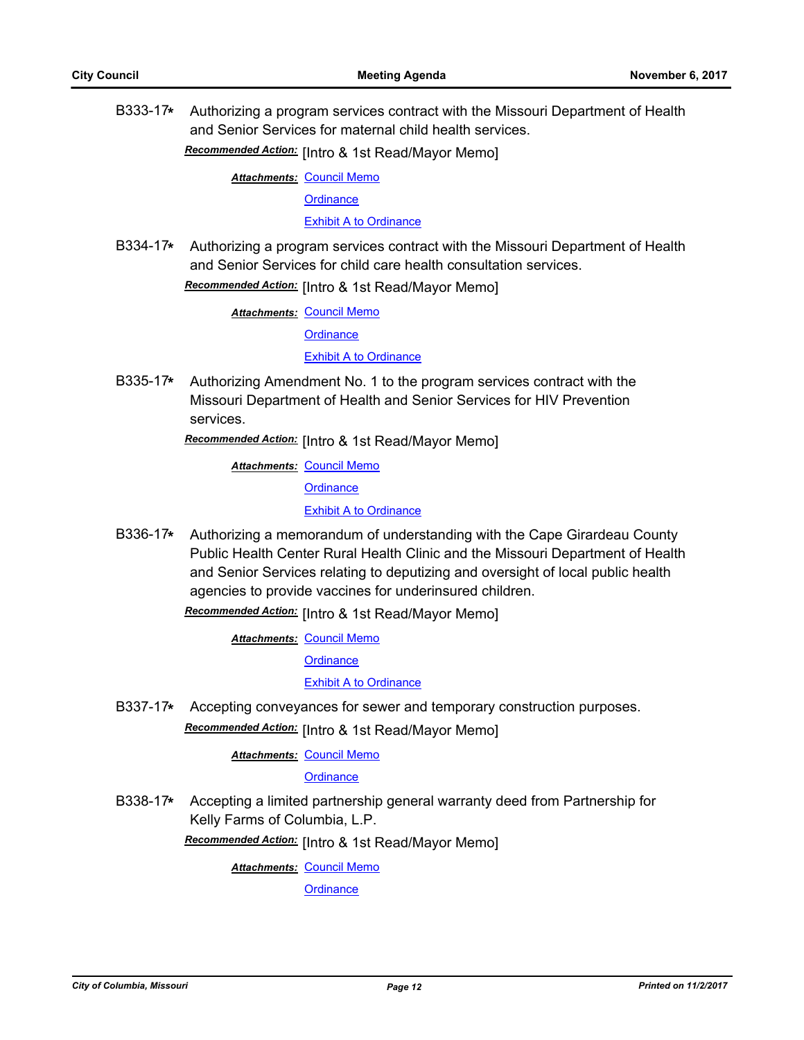B333-17**\*** Authorizing a program services contract with the Missouri Department of Health and Senior Services for maternal child health services.

Recommended Action: [Intro & 1st Read/Mayor Memo]

**Attachments: [Council Memo](http://gocolumbiamo.legistar.com/gateway.aspx?M=F&ID=5c4c7472-5bf2-4d40-8e55-7862b61c4a63.docx)** 

**[Ordinance](http://gocolumbiamo.legistar.com/gateway.aspx?M=F&ID=051e1161-b6a9-4e58-906a-5c9d9d1ddeff.doc)** 

[Exhibit A to Ordinance](http://gocolumbiamo.legistar.com/gateway.aspx?M=F&ID=24b18b97-9a45-456a-96e4-17d8e9a57dc6.pdf)

B334-17**\*** Authorizing a program services contract with the Missouri Department of Health and Senior Services for child care health consultation services.

Recommended Action: [Intro & 1st Read/Mayor Memo]

**Attachments: [Council Memo](http://gocolumbiamo.legistar.com/gateway.aspx?M=F&ID=e4020aff-4a81-4bc1-a633-02ec5fdee974.docx)** 

**[Ordinance](http://gocolumbiamo.legistar.com/gateway.aspx?M=F&ID=a202ed0a-5da6-4028-b79e-7072fa289f22.doc)** 

[Exhibit A to Ordinance](http://gocolumbiamo.legistar.com/gateway.aspx?M=F&ID=51e67bc2-83f2-4c8a-b7ff-59891b8cf67e.pdf)

B335-17**\*** Authorizing Amendment No. 1 to the program services contract with the Missouri Department of Health and Senior Services for HIV Prevention services.

Recommended Action: [Intro & 1st Read/Mayor Memo]

**Attachments: [Council Memo](http://gocolumbiamo.legistar.com/gateway.aspx?M=F&ID=75f21ffb-6008-4fba-a118-ee1b300f3a54.docx)** 

**[Ordinance](http://gocolumbiamo.legistar.com/gateway.aspx?M=F&ID=2293fac8-c6c1-43d4-9377-cffe73a6a604.doc)** 

[Exhibit A to Ordinance](http://gocolumbiamo.legistar.com/gateway.aspx?M=F&ID=d968fb7c-5e97-464f-8bb3-0d52bbad384d.pdf)

B336-17**\*** Authorizing a memorandum of understanding with the Cape Girardeau County Public Health Center Rural Health Clinic and the Missouri Department of Health and Senior Services relating to deputizing and oversight of local public health agencies to provide vaccines for underinsured children.

**Recommended Action:** [Intro & 1st Read/Mayor Memo]

**Attachments: [Council Memo](http://gocolumbiamo.legistar.com/gateway.aspx?M=F&ID=c1f5264e-7049-4dec-8910-4e7f718b5305.docx)** 

**[Ordinance](http://gocolumbiamo.legistar.com/gateway.aspx?M=F&ID=d99b17b6-cf98-4584-b8db-6de4c125f701.doc)** 

#### [Exhibit A to Ordinance](http://gocolumbiamo.legistar.com/gateway.aspx?M=F&ID=ce9c0553-8d94-4e9d-a216-c3f523f87159.pdf)

B337-17**\*** Accepting conveyances for sewer and temporary construction purposes.

**Recommended Action:** [Intro & 1st Read/Mayor Memo]

<u>Attachments: [Council Memo](http://gocolumbiamo.legistar.com/gateway.aspx?M=F&ID=f4482962-25e9-4811-a35a-d420a5e91989.docx)</u>

#### **[Ordinance](http://gocolumbiamo.legistar.com/gateway.aspx?M=F&ID=9de0663a-065b-43a9-85ad-c1de13005919.doc)**

B338-17**\*** Accepting a limited partnership general warranty deed from Partnership for Kelly Farms of Columbia, L.P.

Recommended Action: [Intro & 1st Read/Mayor Memo]

**Attachments: [Council Memo](http://gocolumbiamo.legistar.com/gateway.aspx?M=F&ID=8295f5d3-b200-42b7-8778-c460328bc8e2.docx)**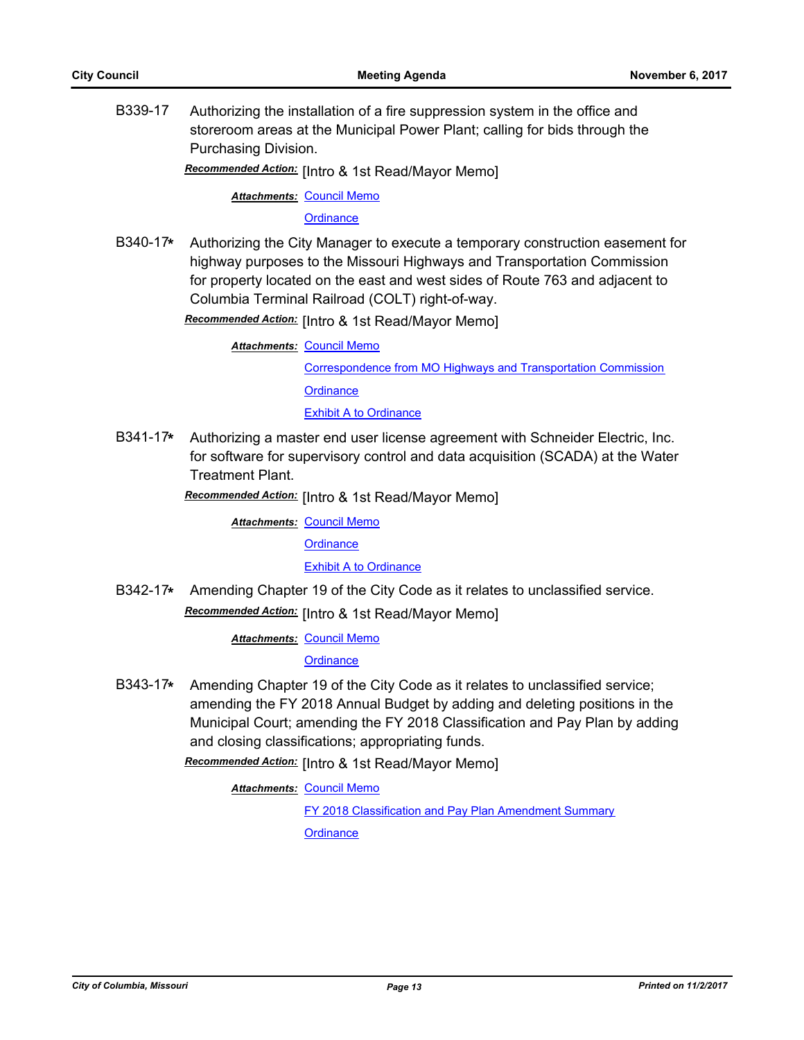B339-17 Authorizing the installation of a fire suppression system in the office and storeroom areas at the Municipal Power Plant; calling for bids through the Purchasing Division.

Recommended Action: [Intro & 1st Read/Mayor Memo]

**Attachments: [Council Memo](http://gocolumbiamo.legistar.com/gateway.aspx?M=F&ID=a431e6bd-5441-4398-a185-31686f48270d.docx)** 

**[Ordinance](http://gocolumbiamo.legistar.com/gateway.aspx?M=F&ID=ce706438-485f-4f0b-bad2-43a512edc97c.doc)** 

B340-17**\*** Authorizing the City Manager to execute a temporary construction easement for highway purposes to the Missouri Highways and Transportation Commission for property located on the east and west sides of Route 763 and adjacent to Columbia Terminal Railroad (COLT) right-of-way.

**Recommended Action:** [Intro & 1st Read/Mayor Memo]

**Attachments: [Council Memo](http://gocolumbiamo.legistar.com/gateway.aspx?M=F&ID=e66f5452-a3bd-412e-bcfb-8209858557fe.docx)** [Correspondence from MO Highways and Transportation Commission](http://gocolumbiamo.legistar.com/gateway.aspx?M=F&ID=f7c303e8-84a1-4b0b-aa99-c44a84df30cd.pdf) **[Ordinance](http://gocolumbiamo.legistar.com/gateway.aspx?M=F&ID=c5f51fc5-7443-4aac-8698-bc94d8d934a5.doc)** [Exhibit A to Ordinance](http://gocolumbiamo.legistar.com/gateway.aspx?M=F&ID=3efa93ed-d652-4285-bcd6-74b9ed645a61.pdf)

B341-17**\*** Authorizing a master end user license agreement with Schneider Electric, Inc. for software for supervisory control and data acquisition (SCADA) at the Water Treatment Plant.

Recommended Action: [Intro & 1st Read/Mayor Memo]

**Attachments: [Council Memo](http://gocolumbiamo.legistar.com/gateway.aspx?M=F&ID=d08b9eb3-7cfb-4564-98ed-529391bb6255.docx)** 

**[Ordinance](http://gocolumbiamo.legistar.com/gateway.aspx?M=F&ID=ef73a298-7815-4832-84f5-ac093b7b58c7.doc)** 

[Exhibit A to Ordinance](http://gocolumbiamo.legistar.com/gateway.aspx?M=F&ID=6e49276c-8b97-44f6-a6ed-4f4738838dde.pdf)

B342-17**\*** Amending Chapter 19 of the City Code as it relates to unclassified service. **Recommended Action:** [Intro & 1st Read/Mayor Memo]

**Attachments: [Council Memo](http://gocolumbiamo.legistar.com/gateway.aspx?M=F&ID=be2891ab-96fa-49c6-b319-dbbe654ff5d4.docx)** 

**[Ordinance](http://gocolumbiamo.legistar.com/gateway.aspx?M=F&ID=7a42501f-94bb-4a64-8172-30373de5a3bb.doc)** 

B343-17**\*** Amending Chapter 19 of the City Code as it relates to unclassified service; amending the FY 2018 Annual Budget by adding and deleting positions in the Municipal Court; amending the FY 2018 Classification and Pay Plan by adding and closing classifications; appropriating funds.

Recommended Action: [Intro & 1st Read/Mayor Memo]

**Attachments: [Council Memo](http://gocolumbiamo.legistar.com/gateway.aspx?M=F&ID=63ec7cf0-89d5-4871-bd24-26a4b98aa9b2.docx)** 

[FY 2018 Classification and Pay Plan Amendment Summary](http://gocolumbiamo.legistar.com/gateway.aspx?M=F&ID=93f56958-3b6a-4909-9617-6ad584daa81f.doc)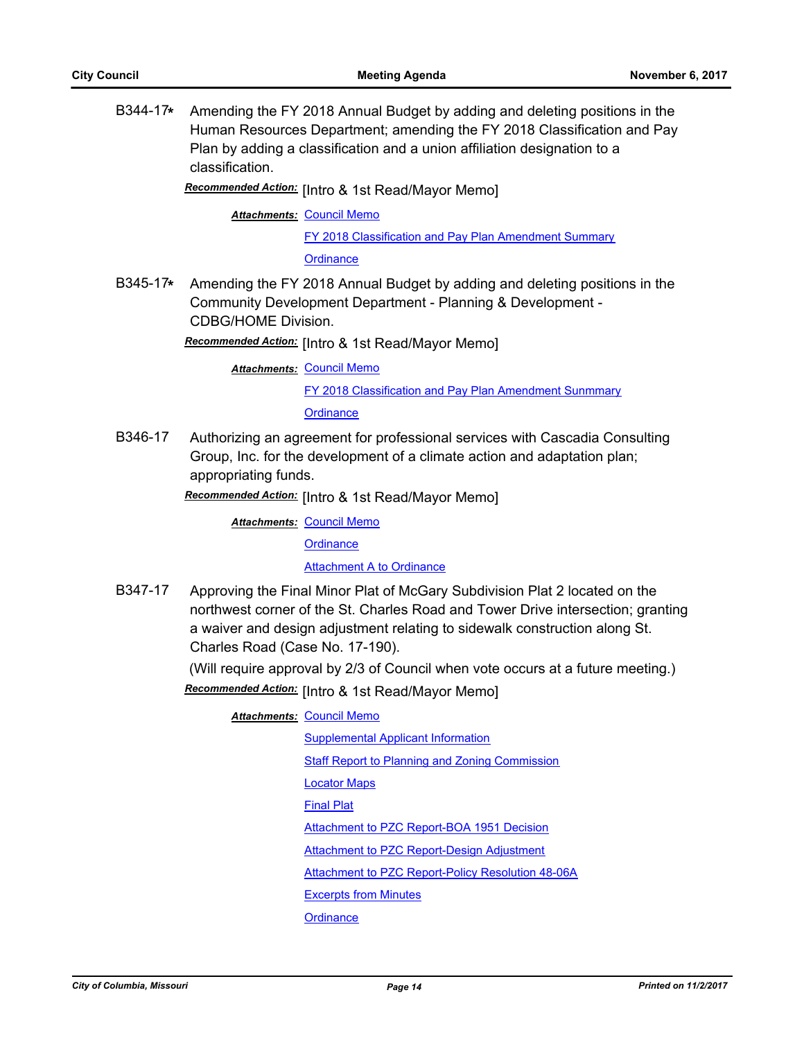B344-17**\*** Amending the FY 2018 Annual Budget by adding and deleting positions in the Human Resources Department; amending the FY 2018 Classification and Pay Plan by adding a classification and a union affiliation designation to a classification.

Recommended Action: [Intro & 1st Read/Mayor Memo]

**Attachments: [Council Memo](http://gocolumbiamo.legistar.com/gateway.aspx?M=F&ID=9bf1ee42-ae1a-4734-9857-c7e33424dd70.docx)** 

[FY 2018 Classification and Pay Plan Amendment Summary](http://gocolumbiamo.legistar.com/gateway.aspx?M=F&ID=306d63eb-d75b-4fdd-90f1-164a7ec07f08.doc)

**[Ordinance](http://gocolumbiamo.legistar.com/gateway.aspx?M=F&ID=d823c975-81fe-42d4-8407-edb1fcddc20a.doc)** 

B345-17**\*** Amending the FY 2018 Annual Budget by adding and deleting positions in the Community Development Department - Planning & Development - CDBG/HOME Division.

Recommended Action: [Intro & 1st Read/Mayor Memo]

**Attachments: [Council Memo](http://gocolumbiamo.legistar.com/gateway.aspx?M=F&ID=1f05b56d-d875-4760-87c4-c2646af8b38c.docx)** [FY 2018 Classification and Pay Plan Amendment Sunmmary](http://gocolumbiamo.legistar.com/gateway.aspx?M=F&ID=eedd0922-2901-406e-9ff0-f37304aa107c.doc) **[Ordinance](http://gocolumbiamo.legistar.com/gateway.aspx?M=F&ID=17ba2b0b-9a9e-4134-885c-b471086646f6.doc)** 

B346-17 Authorizing an agreement for professional services with Cascadia Consulting Group, Inc. for the development of a climate action and adaptation plan; appropriating funds.

Recommended Action: [Intro & 1st Read/Mayor Memo]

**Attachments: [Council Memo](http://gocolumbiamo.legistar.com/gateway.aspx?M=F&ID=47d79844-e6d6-47a5-82c4-10adda443d1f.docx)** 

**[Ordinance](http://gocolumbiamo.legistar.com/gateway.aspx?M=F&ID=efb50206-5675-4029-bf1b-0e61d32c3001.doc)** 

**[Attachment A to Ordinance](http://gocolumbiamo.legistar.com/gateway.aspx?M=F&ID=f95df3cc-01ee-4e35-b8f4-f3907ddbef4e.pdf)** 

B347-17 Approving the Final Minor Plat of McGary Subdivision Plat 2 located on the northwest corner of the St. Charles Road and Tower Drive intersection; granting a waiver and design adjustment relating to sidewalk construction along St. Charles Road (Case No. 17-190).

(Will require approval by 2/3 of Council when vote occurs at a future meeting.)

Recommended Action: [Intro & 1st Read/Mayor Memo]

**Attachments: [Council Memo](http://gocolumbiamo.legistar.com/gateway.aspx?M=F&ID=03bf952e-86cc-4b60-99a2-0fbcb33c11e1.docx)** 

[Supplemental Applicant Information](http://gocolumbiamo.legistar.com/gateway.aspx?M=F&ID=59256515-194b-4a44-93ee-cd08aa0f24b2.pdf) [Staff Report to Planning and Zoning Commission](http://gocolumbiamo.legistar.com/gateway.aspx?M=F&ID=c29d534f-e587-4d0b-866d-79582ea8201a.docx) [Locator Maps](http://gocolumbiamo.legistar.com/gateway.aspx?M=F&ID=de295723-7819-474e-872c-7bb2fefadc7e.pdf) [Final Plat](http://gocolumbiamo.legistar.com/gateway.aspx?M=F&ID=988cc272-f1d6-4e1f-85e4-d487fee879aa.pdf) [Attachment to PZC Report-BOA 1951 Decision](http://gocolumbiamo.legistar.com/gateway.aspx?M=F&ID=b895e81e-db93-45c5-b9fe-fd0f57d4446c.pdf) [Attachment to PZC Report-Design Adjustment](http://gocolumbiamo.legistar.com/gateway.aspx?M=F&ID=1e64fb30-364b-4209-a41b-98655d59a8a9.pdf) [Attachment to PZC Report-Policy Resolution 48-06A](http://gocolumbiamo.legistar.com/gateway.aspx?M=F&ID=07a5305b-d6af-4a21-b940-bf25b2d787ea.pdf) [Excerpts from Minutes](http://gocolumbiamo.legistar.com/gateway.aspx?M=F&ID=ef5deaa9-1e64-45a9-9596-3ca44416d9f4.docx) **[Ordinance](http://gocolumbiamo.legistar.com/gateway.aspx?M=F&ID=9ab0114b-ee54-43c2-b140-2f2ff928dbd9.doc)**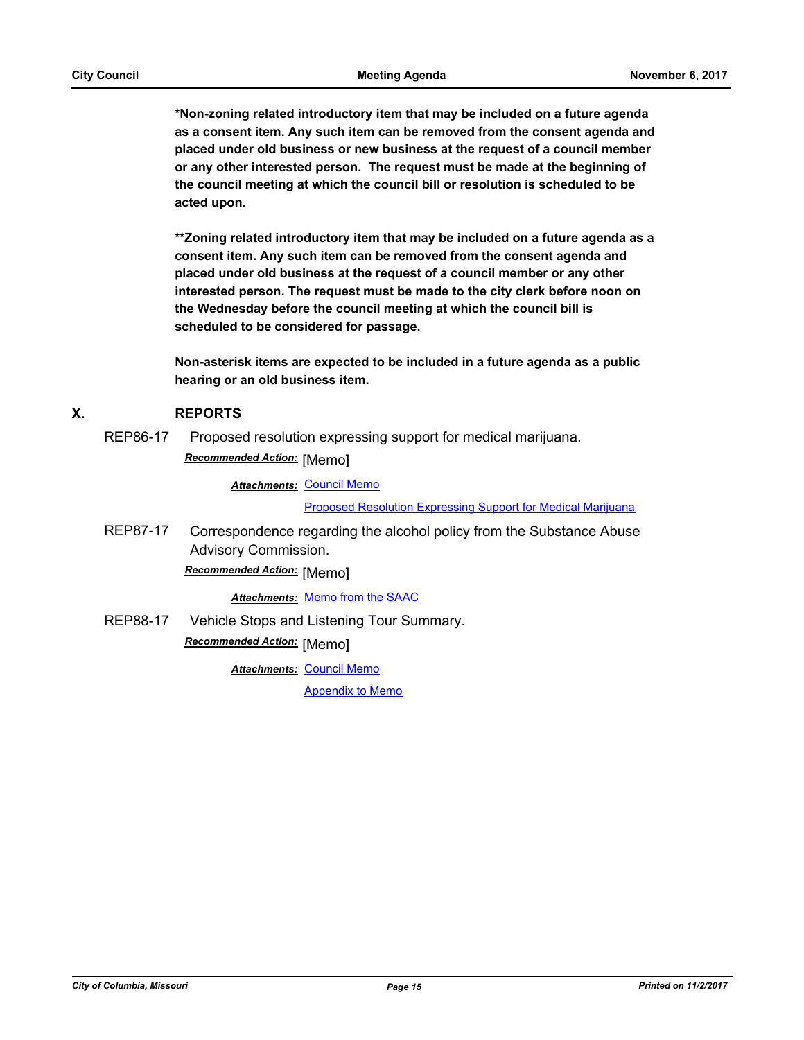**\*Non-zoning related introductory item that may be included on a future agenda as a consent item. Any such item can be removed from the consent agenda and placed under old business or new business at the request of a council member or any other interested person. The request must be made at the beginning of the council meeting at which the council bill or resolution is scheduled to be acted upon.** 

**\*\*Zoning related introductory item that may be included on a future agenda as a consent item. Any such item can be removed from the consent agenda and placed under old business at the request of a council member or any other interested person. The request must be made to the city clerk before noon on the Wednesday before the council meeting at which the council bill is scheduled to be considered for passage.**

**Non-asterisk items are expected to be included in a future agenda as a public hearing or an old business item.**

### **X. REPORTS**

REP86-17 Proposed resolution expressing support for medical marijuana. **Recommended Action:** [Memo]

**Attachments: [Council Memo](http://gocolumbiamo.legistar.com/gateway.aspx?M=F&ID=c429ddac-cf1b-4d49-9468-b3c0b40a2ebf.docx)** 

[Proposed Resolution Expressing Support for Medical Marijuana](http://gocolumbiamo.legistar.com/gateway.aspx?M=F&ID=e42c6946-020b-4d80-8a1e-92f1ac7813b1.doc)

REP87-17 Correspondence regarding the alcohol policy from the Substance Abuse Advisory Commission.

**Recommended Action:** [Memo]

#### *Attachments:* [Memo from the SAAC](http://gocolumbiamo.legistar.com/gateway.aspx?M=F&ID=561b9890-a19b-4917-b495-e6598eb381df.pdf)

REP88-17 Vehicle Stops and Listening Tour Summary. **Recommended Action:** [Memo]

**Attachments: [Council Memo](http://gocolumbiamo.legistar.com/gateway.aspx?M=F&ID=b5e24350-265a-4580-83d2-77315b3eb685.docx)** 

[Appendix to Memo](http://gocolumbiamo.legistar.com/gateway.aspx?M=F&ID=1ea8ce7f-d021-4f16-bf13-f72c0c5af788.pdf)

*City of Columbia, Missouri Page 15 Printed on 11/2/2017*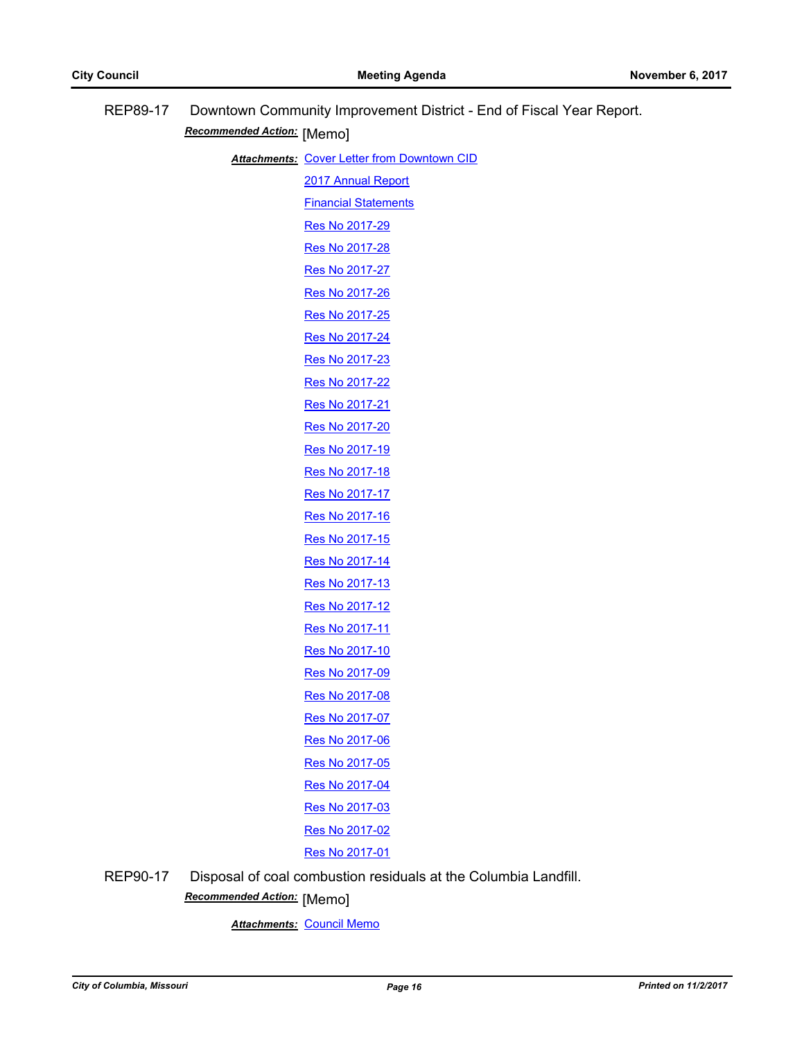| REP89-17 | Downtown Community Improvement District - End of Fiscal Year Report.<br>Recommended Action: [Memo] |                                                                 |  |
|----------|----------------------------------------------------------------------------------------------------|-----------------------------------------------------------------|--|
|          |                                                                                                    |                                                                 |  |
|          |                                                                                                    | <b>Attachments: Cover Letter from Downtown CID</b>              |  |
|          |                                                                                                    | 2017 Annual Report                                              |  |
|          |                                                                                                    | <b>Financial Statements</b>                                     |  |
|          |                                                                                                    | Res No 2017-29                                                  |  |
|          |                                                                                                    | Res No 2017-28                                                  |  |
|          |                                                                                                    | Res No 2017-27                                                  |  |
|          |                                                                                                    | Res No 2017-26                                                  |  |
|          |                                                                                                    | Res No 2017-25                                                  |  |
|          |                                                                                                    | Res No 2017-24                                                  |  |
|          |                                                                                                    | Res No 2017-23                                                  |  |
|          |                                                                                                    | Res No 2017-22                                                  |  |
|          |                                                                                                    | Res No 2017-21                                                  |  |
|          |                                                                                                    | Res No 2017-20                                                  |  |
|          |                                                                                                    | Res No 2017-19                                                  |  |
|          |                                                                                                    | Res No 2017-18                                                  |  |
|          |                                                                                                    | Res No 2017-17                                                  |  |
|          |                                                                                                    | Res No 2017-16                                                  |  |
|          |                                                                                                    | Res No 2017-15                                                  |  |
|          |                                                                                                    | Res No 2017-14                                                  |  |
|          |                                                                                                    | Res No 2017-13                                                  |  |
|          |                                                                                                    | Res No 2017-12                                                  |  |
|          |                                                                                                    | Res No 2017-11                                                  |  |
|          |                                                                                                    | Res No 2017-10                                                  |  |
|          |                                                                                                    | Res No 2017-09                                                  |  |
|          |                                                                                                    | Res No 2017-08                                                  |  |
|          |                                                                                                    | Res No 2017-07                                                  |  |
|          |                                                                                                    | Res No 2017-06                                                  |  |
|          |                                                                                                    | Res No 2017-05                                                  |  |
|          |                                                                                                    | Res No 2017-04                                                  |  |
|          |                                                                                                    | Res No 2017-03                                                  |  |
|          |                                                                                                    | Res No 2017-02                                                  |  |
|          |                                                                                                    | Res No 2017-01                                                  |  |
| REP90-17 |                                                                                                    | Disposal of coal combustion residuals at the Columbia Landfill. |  |

[Memo] *Recommended Action:*

*Attachments:* [Council Memo](http://gocolumbiamo.legistar.com/gateway.aspx?M=F&ID=286cafa3-2700-4eb1-96d4-c21aeabb5458.docx)